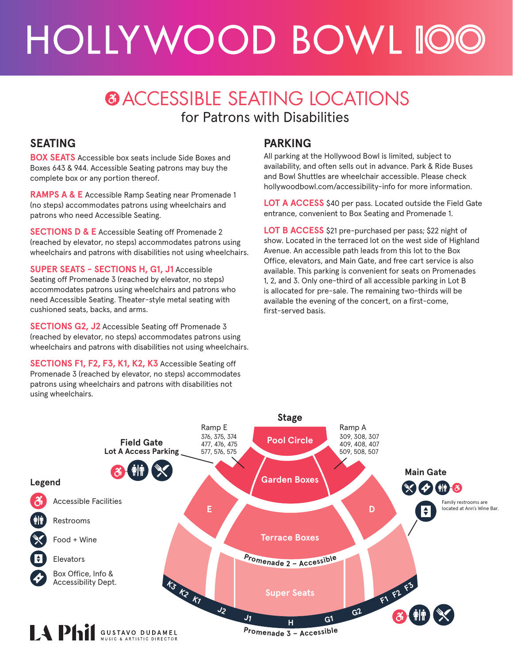# HOLLYWOOD BOWL 100

### **@ACCESSIBLE SEATING LOCATIONS** for Patrons with Disabilities

#### **SEATING**

**BOX SEATS** Accessible box seats include Side Boxes and Boxes 643 & 944. Accessible Seating patrons may buy the complete box or any portion thereof.

**RAMPS A & E** Accessible Ramp Seating near Promenade 1 (no steps) accommodates patrons using wheelchairs and patrons who need Accessible Seating.

**SECTIONS D & E** Accessible Seating off Promenade 2 (reached by elevator, no steps) accommodates patrons using wheelchairs and patrons with disabilities not using wheelchairs.

**SUPER SEATS - SECTIONS H, G1, J1** Accessible Seating off Promenade 3 (reached by elevator, no steps) accommodates patrons using wheelchairs and patrons who need Accessible Seating. Theater-style metal seating with cushioned seats, backs, and arms.

**SECTIONS G2, J2** Accessible Seating off Promenade 3 (reached by elevator, no steps) accommodates patrons using wheelchairs and patrons with disabilities not using wheelchairs.

**SECTIONS F1, F2, F3, K1, K2, K3** Accessible Seating off Promenade 3 (reached by elevator, no steps) accommodates patrons using wheelchairs and patrons with disabilities not using wheelchairs.

#### **PARKING**

All parking at the Hollywood Bowl is limited, subject to availability, and often sells out in advance. Park & Ride Buses and Bowl Shuttles are wheelchair accessible. Please check hollywoodbowl.com/accessibility-info for more information.

**LOT A ACCESS** \$40 per pass. Located outside the Field Gate entrance, convenient to Box Seating and Promenade 1.

**LOT B ACCESS** \$21 pre-purchased per pass; \$22 night of show. Located in the terraced lot on the west side of Highland Avenue. An accessible path leads from this lot to the Box Office, elevators, and Main Gate, and free cart service is also available. This parking is convenient for seats on Promenades 1, 2, and 3. Only one-third of all accessible parking in Lot B is allocated for pre-sale. The remaining two-thirds will be available the evening of the concert, on a first-come, first-served basis.